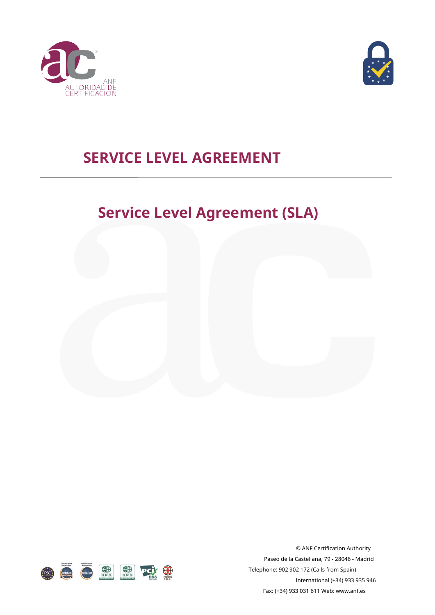



## **SERVICE LEVEL AGREEMENT**

# **Service Level Agreement (SLA)**





© ANF Certification Authority Paseo de la Castellana, 79 - 28046 - Madrid Telephone: 902 902 172 (Calls from Spain) International (+34) 933 935 946 Fax: (+34) 933 031 611 Web: www.an[f.es](http://www.anf.es/)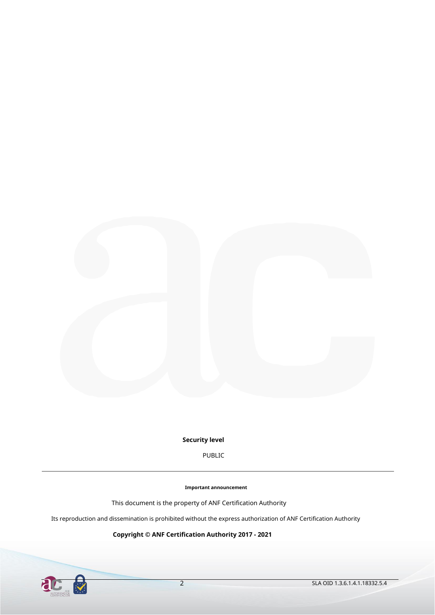

**Security level**

PUBLIC

**Important announcement**

This document is the property of ANF Certification Authority

Its reproduction and dissemination is prohibited without the express authorization of ANF Certification Authority

**Copyright © ANF Certification Authority 2017 - 2021**

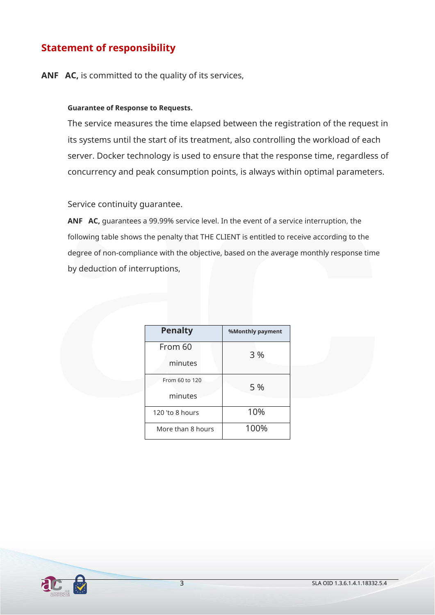## **Statement of responsibility**

**ANF AC,** is committed to the quality of its services,

#### **Guarantee of Response to Requests.**

The service measures the time elapsed between the registration of the request in its systems until the start of its treatment, also controlling the workload of each server. Docker technology is used to ensure that the response time, regardless of concurrency and peak consumption points, is always within optimal parameters.

Service continuity guarantee.

**ANF AC,** guarantees a 99.99% service level. In the event of a service interruption, the following table shows the penalty that THE CLIENT is entitled to receive according to the degree of non-compliance with the objective, based on the average monthly response time by deduction of interruptions,

| <b>Penalty</b>    | %Monthly payment |  |
|-------------------|------------------|--|
| From 60           | 3 %              |  |
| minutes           |                  |  |
| From 60 to 120    | 5 %              |  |
| minutes           |                  |  |
| 120 'to 8 hours   | 10%              |  |
| More than 8 hours | 100%             |  |

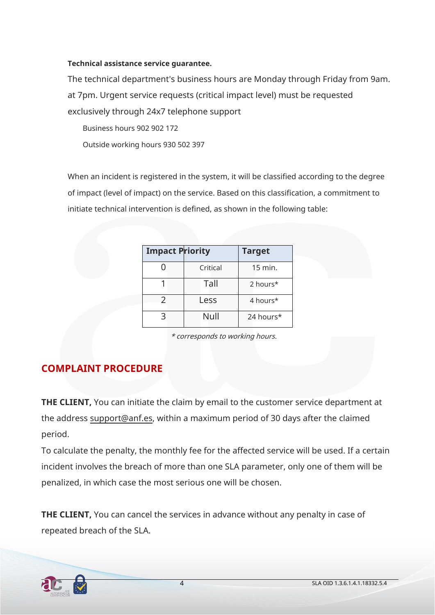#### **Technical assistance service guarantee.**

The technical department's business hours are Monday through Friday from 9am. at 7pm. Urgent service requests (critical impact level) must be requested exclusively through 24x7 telephone support

Business hours 902 902 172 Outside working hours 930 502 397

When an incident is registered in the system, it will be classified according to the degree of impact (level of impact) on the service. Based on this classification, a commitment to initiate technical intervention is defined, as shown in the following table:

| <b>Impact Priority</b> |          | <b>Target</b> |
|------------------------|----------|---------------|
|                        | Critical | 15 min.       |
|                        | Tall     | 2 hours*      |
| $\mathcal{P}$          | Less     | 4 hours*      |
|                        | Null     | 24 hours*     |

\* corresponds to working hours.

### **COMPLAINT PROCEDURE**

**THE CLIENT,** You can initiate the claim by email to the customer service department at the address support@[anf.es, within a m](mailto:soporte@anf.es)aximum period of 30 days after the claimed period.

To calculate the penalty, the monthly fee for the affected service will be used. If a certain incident involves the breach of more than one SLA parameter, only one of them will be penalized, in which case the most serious one will be chosen.

**THE CLIENT,** You can cancel the services in advance without any penalty in case of repeated breach of the SLA.